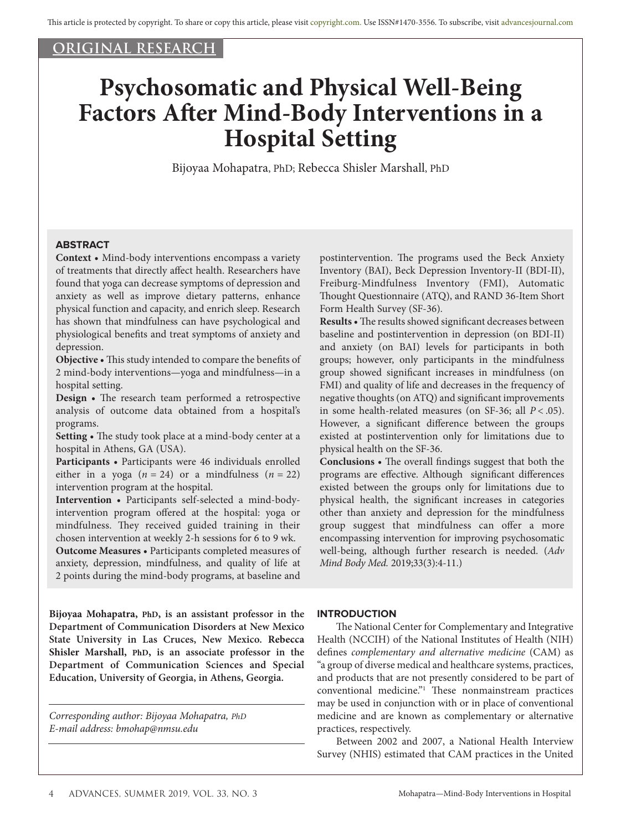## **ORIGINAL RESEARCH**

# **Psychosomatic and Physical Well-Being Factors After Mind-Body Interventions in a Hospital Setting**

Bijoyaa Mohapatra, PhD; Rebecca Shisler Marshall, PhD

## **ABSTRACT**

**Context •** Mind-body interventions encompass a variety of treatments that directly affect health. Researchers have found that yoga can decrease symptoms of depression and anxiety as well as improve dietary patterns, enhance physical function and capacity, and enrich sleep. Research has shown that mindfulness can have psychological and physiological benefits and treat symptoms of anxiety and depression.

**Objective •** This study intended to compare the benefits of 2 mind-body interventions—yoga and mindfulness—in a hospital setting.

**Design •** The research team performed a retrospective analysis of outcome data obtained from a hospital's programs.

**Setting •** The study took place at a mind-body center at a hospital in Athens, GA (USA).

**Participants •** Participants were 46 individuals enrolled either in a yoga  $(n = 24)$  or a mindfulness  $(n = 22)$ intervention program at the hospital.

**Intervention •** Participants self-selected a mind-bodyintervention program offered at the hospital: yoga or mindfulness. They received guided training in their chosen intervention at weekly 2-h sessions for 6 to 9 wk.

**Outcome Measures •** Participants completed measures of anxiety, depression, mindfulness, and quality of life at 2 points during the mind-body programs, at baseline and

**Bijoyaa Mohapatra, PhD, is an assistant professor in the Department of Communication Disorders at New Mexico State University in Las Cruces, New Mexico. Rebecca Shisler Marshall, PhD, is an associate professor in the Department of Communication Sciences and Special Education, University of Georgia, in Athens, Georgia.** 

*Corresponding author: Bijoyaa Mohapatra, PhD E-mail address: bmohap@nmsu.edu*

postintervention. The programs used the Beck Anxiety Inventory (BAI), Beck Depression Inventory-II (BDI-II), Freiburg-Mindfulness Inventory (FMI), Automatic Thought Questionnaire (ATQ), and RAND 36*-*Item Short Form Health Survey (SF-36)*.*

**Results •** The results showed significant decreases between baseline and postintervention in depression (on BDI-II) and anxiety (on BAI) levels for participants in both groups; however, only participants in the mindfulness group showed significant increases in mindfulness (on FMI) and quality of life and decreases in the frequency of negative thoughts (on ATQ) and significant improvements in some health-related measures (on SF-36; all *P* < .05). However, a significant difference between the groups existed at postintervention only for limitations due to physical health on the SF-36.

**Conclusions •** The overall findings suggest that both the programs are effective. Although significant differences existed between the groups only for limitations due to physical health, the significant increases in categories other than anxiety and depression for the mindfulness group suggest that mindfulness can offer a more encompassing intervention for improving psychosomatic well-being, although further research is needed. (*Adv Mind Body Med.* 2019;33(3):4-11.)

#### **INTRODUCTION**

The National Center for Complementary and Integrative Health (NCCIH) of the National Institutes of Health (NIH) defines *complementary and alternative medicine* (CAM) as "a group of diverse medical and healthcare systems, practices, and products that are not presently considered to be part of conventional medicine."1 These nonmainstream practices may be used in conjunction with or in place of conventional medicine and are known as complementary or alternative practices, respectively.

Between 2002 and 2007, a National Health Interview Survey (NHIS) estimated that CAM practices in the United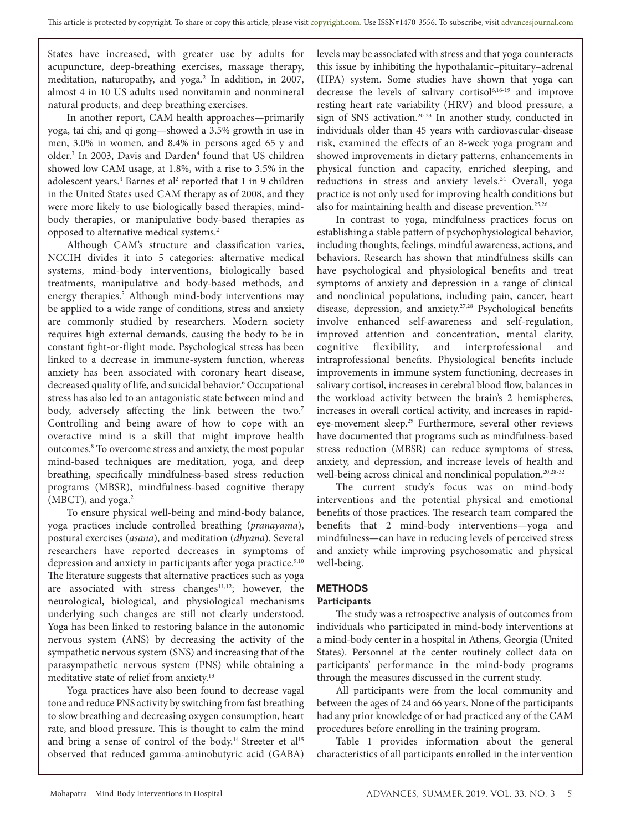States have increased, with greater use by adults for acupuncture, deep-breathing exercises, massage therapy, meditation, naturopathy, and yoga.<sup>2</sup> In addition, in 2007, almost 4 in 10 US adults used nonvitamin and nonmineral natural products, and deep breathing exercises.

In another report, CAM health approaches—primarily yoga, tai chi, and qi gong—showed a 3.5% growth in use in men, 3.0% in women, and 8.4% in persons aged 65 y and older.<sup>3</sup> In 2003, Davis and Darden<sup>4</sup> found that US children showed low CAM usage, at 1.8%, with a rise to 3.5% in the adolescent years.<sup>4</sup> Barnes et al<sup>2</sup> reported that 1 in 9 children in the United States used CAM therapy as of 2008, and they were more likely to use biologically based therapies, mindbody therapies, or manipulative body-based therapies as opposed to alternative medical systems.2

Although CAM's structure and classification varies, NCCIH divides it into 5 categories: alternative medical systems, mind-body interventions, biologically based treatments, manipulative and body-based methods, and energy therapies.<sup>5</sup> Although mind-body interventions may be applied to a wide range of conditions, stress and anxiety are commonly studied by researchers. Modern society requires high external demands, causing the body to be in constant fight-or-flight mode. Psychological stress has been linked to a decrease in immune-system function, whereas anxiety has been associated with coronary heart disease, decreased quality of life, and suicidal behavior.<sup>6</sup> Occupational stress has also led to an antagonistic state between mind and body, adversely affecting the link between the two.<sup>7</sup> Controlling and being aware of how to cope with an overactive mind is a skill that might improve health outcomes.8 To overcome stress and anxiety, the most popular mind-based techniques are meditation, yoga, and deep breathing, specifically mindfulness-based stress reduction programs (MBSR), mindfulness-based cognitive therapy (MBCT), and yoga.<sup>2</sup>

To ensure physical well-being and mind-body balance, yoga practices include controlled breathing (*pranayama*), postural exercises (*asana*), and meditation (*dhyana*). Several researchers have reported decreases in symptoms of depression and anxiety in participants after yoga practice.<sup>9,10</sup> The literature suggests that alternative practices such as yoga are associated with stress changes $11,12$ ; however, the neurological, biological, and physiological mechanisms underlying such changes are still not clearly understood. Yoga has been linked to restoring balance in the autonomic nervous system (ANS) by decreasing the activity of the sympathetic nervous system (SNS) and increasing that of the parasympathetic nervous system (PNS) while obtaining a meditative state of relief from anxiety.<sup>13</sup>

Yoga practices have also been found to decrease vagal tone and reduce PNS activity by switching from fast breathing to slow breathing and decreasing oxygen consumption, heart rate, and blood pressure. This is thought to calm the mind and bring a sense of control of the body.<sup>14</sup> Streeter et al<sup>15</sup> observed that reduced gamma-aminobutyric acid (GABA)

levels may be associated with stress and that yoga counteracts this issue by inhibiting the hypothalamic–pituitary–adrenal (HPA) system. Some studies have shown that yoga can decrease the levels of salivary cortisol<sup>6,16-19</sup> and improve resting heart rate variability (HRV) and blood pressure, a sign of SNS activation.<sup>20-23</sup> In another study, conducted in individuals older than 45 years with cardiovascular-disease risk, examined the effects of an 8-week yoga program and showed improvements in dietary patterns, enhancements in physical function and capacity, enriched sleeping, and reductions in stress and anxiety levels.<sup>24</sup> Overall, yoga practice is not only used for improving health conditions but also for maintaining health and disease prevention.<sup>25,26</sup>

In contrast to yoga, mindfulness practices focus on establishing a stable pattern of psychophysiological behavior, including thoughts, feelings, mindful awareness, actions, and behaviors. Research has shown that mindfulness skills can have psychological and physiological benefits and treat symptoms of anxiety and depression in a range of clinical and nonclinical populations, including pain, cancer, heart disease, depression, and anxiety.<sup>27,28</sup> Psychological benefits involve enhanced self-awareness and self-regulation, improved attention and concentration, mental clarity, cognitive flexibility, and interprofessional and intraprofessional benefits. Physiological benefits include improvements in immune system functioning, decreases in salivary cortisol, increases in cerebral blood flow, balances in the workload activity between the brain's 2 hemispheres, increases in overall cortical activity, and increases in rapideye-movement sleep.<sup>29</sup> Furthermore, several other reviews have documented that programs such as mindfulness-based stress reduction (MBSR) can reduce symptoms of stress, anxiety, and depression, and increase levels of health and well-being across clinical and nonclinical population.<sup>20,28-32</sup>

The current study's focus was on mind-body interventions and the potential physical and emotional benefits of those practices. The research team compared the benefits that 2 mind-body interventions—yoga and mindfulness—can have in reducing levels of perceived stress and anxiety while improving psychosomatic and physical well-being.

## **METHODS**

## **Participants**

The study was a retrospective analysis of outcomes from individuals who participated in mind-body interventions at a mind-body center in a hospital in Athens, Georgia (United States). Personnel at the center routinely collect data on participants' performance in the mind-body programs through the measures discussed in the current study.

All participants were from the local community and between the ages of 24 and 66 years. None of the participants had any prior knowledge of or had practiced any of the CAM procedures before enrolling in the training program.

Table 1 provides information about the general characteristics of all participants enrolled in the intervention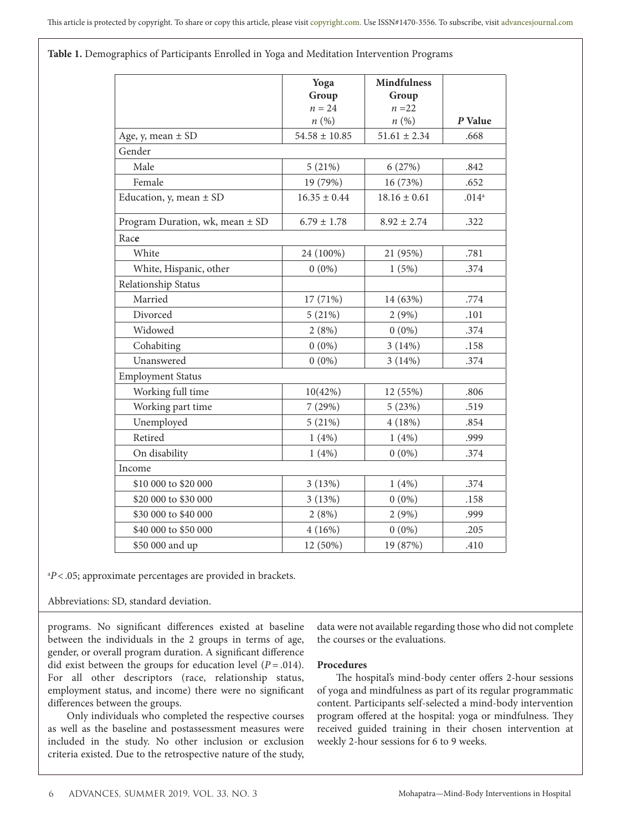**Table 1.** Demographics of Participants Enrolled in Yoga and Meditation Intervention Programs

|                                 | Yoga              | <b>Mindfulness</b> |                   |  |  |  |
|---------------------------------|-------------------|--------------------|-------------------|--|--|--|
|                                 | Group<br>$n = 24$ | Group<br>$n = 22$  |                   |  |  |  |
|                                 | n(%)              | n(%)               | P Value           |  |  |  |
| Age, y, mean $\pm$ SD           | $54.58 \pm 10.85$ | $51.61 \pm 2.34$   | .668              |  |  |  |
| Gender                          |                   |                    |                   |  |  |  |
| Male                            | 5(21%)            | 6(27%)             | .842              |  |  |  |
| Female                          | 19 (79%)          | 16 (73%)           | .652              |  |  |  |
| Education, y, mean $\pm$ SD     | $16.35 \pm 0.44$  | $18.16 \pm 0.61$   | .014 <sup>a</sup> |  |  |  |
| Program Duration, wk, mean ± SD | $6.79 \pm 1.78$   | $8.92 \pm 2.74$    | .322              |  |  |  |
| Race                            |                   |                    |                   |  |  |  |
| White                           | 24 (100%)         | 21 (95%)           | .781              |  |  |  |
| White, Hispanic, other          | $0(0\%)$          | 1(5%)              | .374              |  |  |  |
| Relationship Status             |                   |                    |                   |  |  |  |
| Married                         | 17 (71%)          | 14 (63%)           | .774              |  |  |  |
| Divorced                        | 5(21%)            | 2(9%)              | .101              |  |  |  |
| Widowed                         | 2(8%)             | $0(0\%)$           | .374              |  |  |  |
| Cohabiting                      | $0(0\%)$          | 3(14%)             | .158              |  |  |  |
| Unanswered                      | $0(0\%)$          | 3(14%)             | .374              |  |  |  |
| <b>Employment Status</b>        |                   |                    |                   |  |  |  |
| Working full time               | 10(42%)           | 12 (55%)           | .806              |  |  |  |
| Working part time               | 7(29%)            | 5(23%)             | .519              |  |  |  |
| Unemployed                      | 5(21%)            | 4(18%)             | .854              |  |  |  |
| Retired                         | 1(4%)             | 1(4%)              | .999              |  |  |  |
| On disability                   | 1(4%)             | $0(0\%)$           | .374              |  |  |  |
| Income                          |                   |                    |                   |  |  |  |
| \$10 000 to \$20 000            | 3(13%)            | 1(4%)              | .374              |  |  |  |
| \$20 000 to \$30 000            | 3(13%)            | $0(0\%)$           | .158              |  |  |  |
| \$30 000 to \$40 000            | 2(8%)             | 2(9%)              | .999              |  |  |  |
| \$40 000 to \$50 000            | 4(16%)            | $0(0\%)$           | .205              |  |  |  |
| \$50 000 and up                 | 12 (50%)          | 19 (87%)           | .410              |  |  |  |

a *P*<.05; approximate percentages are provided in brackets.

Abbreviations: SD, standard deviation.

programs. No significant differences existed at baseline between the individuals in the 2 groups in terms of age, gender, or overall program duration. A significant difference did exist between the groups for education level  $(P = .014)$ . For all other descriptors (race, relationship status, employment status, and income) there were no significant differences between the groups.

Only individuals who completed the respective courses as well as the baseline and postassessment measures were included in the study. No other inclusion or exclusion criteria existed. Due to the retrospective nature of the study, data were not available regarding those who did not complete the courses or the evaluations.

### **Procedures**

The hospital's mind-body center offers 2-hour sessions of yoga and mindfulness as part of its regular programmatic content. Participants self-selected a mind-body intervention program offered at the hospital: yoga or mindfulness. They received guided training in their chosen intervention at weekly 2-hour sessions for 6 to 9 weeks.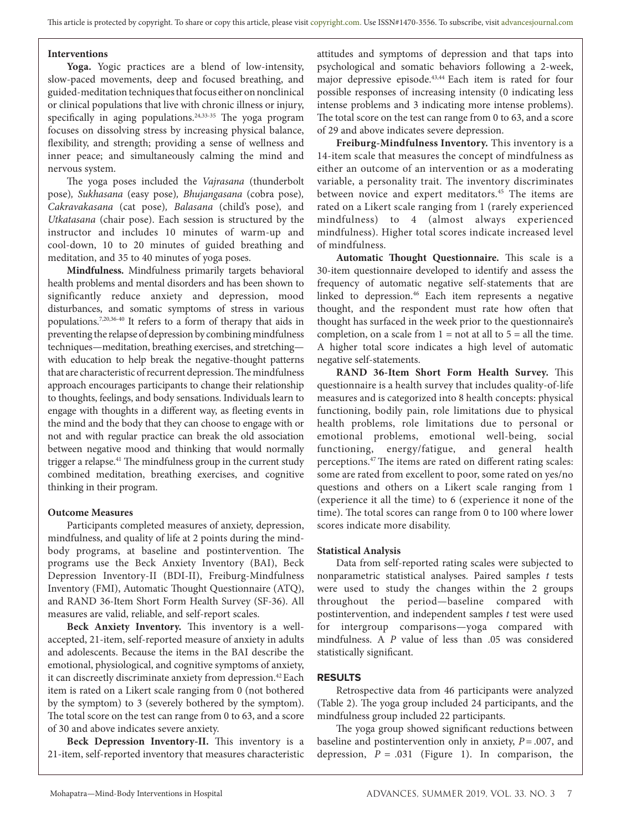## **Interventions**

**Yoga.** Yogic practices are a blend of low-intensity, slow-paced movements, deep and focused breathing, and guided-meditation techniques that focus either on nonclinical or clinical populations that live with chronic illness or injury, specifically in aging populations.<sup>24,33-35</sup> The yoga program focuses on dissolving stress by increasing physical balance, flexibility, and strength; providing a sense of wellness and inner peace; and simultaneously calming the mind and nervous system.

The yoga poses included the *Vajrasana* (thunderbolt pose)*, Sukhasana* (easy pose)*, Bhujangasana* (cobra pose)*, Cakravakasana* (cat pose)*, Balasana* (child's pose)*,* and *Utkatasana* (chair pose). Each session is structured by the instructor and includes 10 minutes of warm-up and cool-down, 10 to 20 minutes of guided breathing and meditation, and 35 to 40 minutes of yoga poses.

**Mindfulness.** Mindfulness primarily targets behavioral health problems and mental disorders and has been shown to significantly reduce anxiety and depression, mood disturbances, and somatic symptoms of stress in various populations.7,20,36-40 It refers to a form of therapy that aids in preventing the relapse of depression by combining mindfulness techniques—meditation, breathing exercises, and stretching with education to help break the negative-thought patterns that are characteristic of recurrent depression. The mindfulness approach encourages participants to change their relationship to thoughts, feelings, and body sensations. Individuals learn to engage with thoughts in a different way, as fleeting events in the mind and the body that they can choose to engage with or not and with regular practice can break the old association between negative mood and thinking that would normally trigger a relapse.<sup>41</sup> The mindfulness group in the current study combined meditation, breathing exercises, and cognitive thinking in their program.

#### **Outcome Measures**

Participants completed measures of anxiety, depression, mindfulness, and quality of life at 2 points during the mindbody programs, at baseline and postintervention. The programs use the Beck Anxiety Inventory (BAI), Beck Depression Inventory-II (BDI*-*II), Freiburg-Mindfulness Inventory (FMI), Automatic Thought Questionnaire (ATQ), and RAND 36*-*Item Short Form Health Survey (SF*-*36). All measures are valid, reliable, and self-report scales.

**Beck Anxiety Inventory.** This inventory is a wellaccepted, 21-item, self-reported measure of anxiety in adults and adolescents. Because the items in the BAI describe the emotional, physiological, and cognitive symptoms of anxiety, it can discreetly discriminate anxiety from depression.<sup>42</sup> Each item is rated on a Likert scale ranging from 0 (not bothered by the symptom) to 3 (severely bothered by the symptom). The total score on the test can range from 0 to 63, and a score of 30 and above indicates severe anxiety.

**Beck Depression Inventory-II.** This inventory is a 21-item, self-reported inventory that measures characteristic attitudes and symptoms of depression and that taps into psychological and somatic behaviors following a 2-week, major depressive episode.<sup>43,44</sup> Each item is rated for four possible responses of increasing intensity (0 indicating less intense problems and 3 indicating more intense problems). The total score on the test can range from 0 to 63, and a score of 29 and above indicates severe depression.

**Freiburg-Mindfulness Inventory.** This inventory is a 14-item scale that measures the concept of mindfulness as either an outcome of an intervention or as a moderating variable, a personality trait. The inventory discriminates between novice and expert meditators.<sup>45</sup> The items are rated on a Likert scale ranging from 1 (rarely experienced mindfulness) to 4 (almost always experienced mindfulness). Higher total scores indicate increased level of mindfulness.

**Automatic Thought Questionnaire.** This scale is a 30-item questionnaire developed to identify and assess the frequency of automatic negative self-statements that are linked to depression.<sup>46</sup> Each item represents a negative thought, and the respondent must rate how often that thought has surfaced in the week prior to the questionnaire's completion, on a scale from  $1 = not$  at all to  $5 = all$  the time. A higher total score indicates a high level of automatic negative self-statements.

**RAND 36***-***Item Short Form Health Survey.** This questionnaire is a health survey that includes quality-of-life measures and is categorized into 8 health concepts: physical functioning, bodily pain, role limitations due to physical health problems, role limitations due to personal or emotional problems, emotional well-being, social functioning, energy/fatigue, and general health perceptions.47 The items are rated on different rating scales: some are rated from excellent to poor, some rated on yes/no questions and others on a Likert scale ranging from 1 (experience it all the time) to 6 (experience it none of the time). The total scores can range from 0 to 100 where lower scores indicate more disability.

#### **Statistical Analysis**

Data from self-reported rating scales were subjected to nonparametric statistical analyses. Paired samples *t* tests were used to study the changes within the 2 groups throughout the period—baseline compared with postintervention, and independent samples *t* test were used for intergroup comparisons—yoga compared with mindfulness. A *P* value of less than .05 was considered statistically significant.

#### **RESULTS**

Retrospective data from 46 participants were analyzed (Table 2). The yoga group included 24 participants, and the mindfulness group included 22 participants.

The yoga group showed significant reductions between baseline and postintervention only in anxiety, *P* = .007, and depression, *P* = .031 (Figure 1). In comparison, the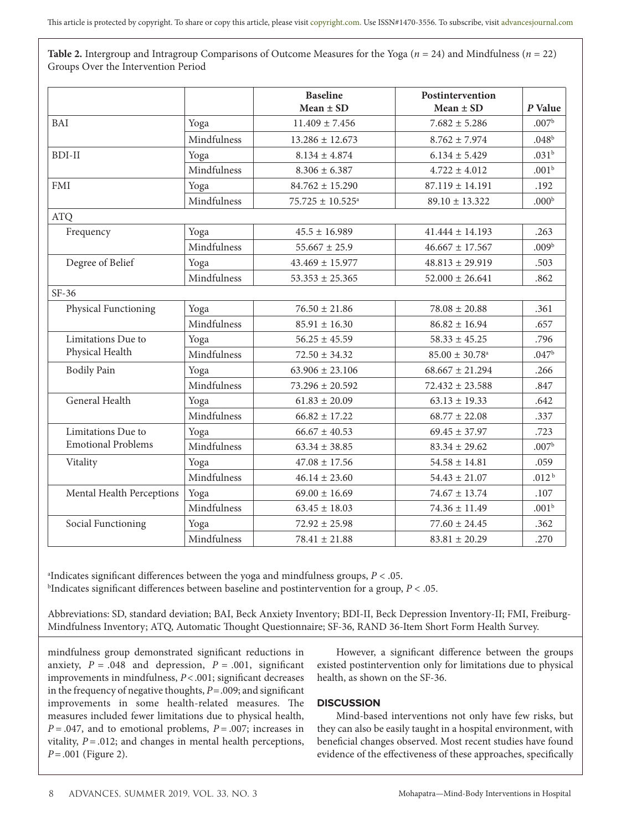**Table 2.** Intergroup and Intragroup Comparisons of Outcome Measures for the Yoga ( $n = 24$ ) and Mindfulness ( $n = 22$ ) Groups Over the Intervention Period

|                                                 |             | <b>Baseline</b><br>Mean $\pm$ SD | Postintervention<br>Mean $\pm$ SD | P Value           |
|-------------------------------------------------|-------------|----------------------------------|-----------------------------------|-------------------|
| BAI                                             | Yoga        | $11.409 \pm 7.456$               | $7.682 \pm 5.286$                 | .007 <sup>b</sup> |
|                                                 | Mindfulness | $13.286 \pm 12.673$              | $8.762 \pm 7.974$                 | .048 <sup>b</sup> |
| <b>BDI-II</b>                                   | Yoga        | $8.134 \pm 4.874$                | $6.134 \pm 5.429$                 | .031 <sup>b</sup> |
|                                                 | Mindfulness | $8.306 \pm 6.387$                | $4.722 \pm 4.012$                 | .001 <sup>b</sup> |
| <b>FMI</b>                                      | Yoga        | $84.762 \pm 15.290$              | $87.119 \pm 14.191$               | .192              |
|                                                 | Mindfulness | $75.725 \pm 10.525$ <sup>a</sup> | $89.10 \pm 13.322$                | .000 <sup>b</sup> |
| <b>ATQ</b>                                      |             |                                  |                                   |                   |
| Frequency                                       | Yoga        | $45.5 \pm 16.989$                | $41.444 \pm 14.193$               | .263              |
|                                                 | Mindfulness | $55.667 \pm 25.9$                | $46.667 \pm 17.567$               | .009 <sup>b</sup> |
| Degree of Belief                                | Yoga        | $43.469 \pm 15.977$              | $48.813 \pm 29.919$               | .503              |
|                                                 | Mindfulness | $53.353 \pm 25.365$              | $52.000 \pm 26.641$               | .862              |
| $SF-36$                                         |             |                                  |                                   |                   |
| Physical Functioning                            | Yoga        | $76.50 \pm 21.86$                | $78.08 \pm 20.88$                 | .361              |
|                                                 | Mindfulness | $85.91 \pm 16.30$                | $86.82 \pm 16.94$                 | .657              |
| Limitations Due to<br>Physical Health           | Yoga        | $56.25 \pm 45.59$                | $58.33 \pm 45.25$                 | .796              |
|                                                 | Mindfulness | $72.50 \pm 34.32$                | $85.00 \pm 30.78$ <sup>a</sup>    | .047 <sup>b</sup> |
| <b>Bodily Pain</b>                              | Yoga        | $63.906 \pm 23.106$              | $68.667 \pm 21.294$               | .266              |
|                                                 | Mindfulness | $73.296 \pm 20.592$              | $72.432 \pm 23.588$               | .847              |
| General Health                                  | Yoga        | $61.83 \pm 20.09$                | $63.13 \pm 19.33$                 | .642              |
|                                                 | Mindfulness | $66.82 \pm 17.22$                | $68.77 \pm 22.08$                 | .337              |
| Limitations Due to<br><b>Emotional Problems</b> | Yoga        | $66.67 \pm 40.53$                | $69.45 \pm 37.97$                 | .723              |
|                                                 | Mindfulness | $63.34 \pm 38.85$                | $83.34 \pm 29.62$                 | .007 <sup>b</sup> |
| Vitality                                        | Yoga        | $47.08 \pm 17.56$                | $54.58 \pm 14.81$                 | .059              |
|                                                 | Mindfulness | $46.14 \pm 23.60$                | $54.43 \pm 21.07$                 | .012 <sup>b</sup> |
| Mental Health Perceptions                       | Yoga        | $69.00 \pm 16.69$                | $74.67 \pm 13.74$                 | .107              |
|                                                 | Mindfulness | $63.45 \pm 18.03$                | $74.36 \pm 11.49$                 | .001 <sup>b</sup> |
| Social Functioning                              | Yoga        | $72.92 \pm 25.98$                | $77.60 \pm 24.45$                 | .362              |
|                                                 | Mindfulness | $78.41 \pm 21.88$                | $83.81 \pm 20.29$                 | .270              |

a Indicates significant differences between the yoga and mindfulness groups, *P* < .05. b Indicates significant differences between baseline and postintervention for a group, *P* < .05.

Abbreviations: SD, standard deviation; BAI, Beck Anxiety Inventory; BDI*-*II, Beck Depression Inventory-II; FMI, Freiburg-Mindfulness Inventory; ATQ, Automatic Thought Questionnaire; SF*-*36, RAND 36*-*Item Short Form Health Survey.

mindfulness group demonstrated significant reductions in anxiety,  $P = .048$  and depression,  $P = .001$ , significant improvements in mindfulness, *P*<.001; significant decreases in the frequency of negative thoughts, *P*=.009; and significant improvements in some health-related measures. The measures included fewer limitations due to physical health, *P* = .047, and to emotional problems, *P* = .007; increases in vitality,  $P = .012$ ; and changes in mental health perceptions, *P*=.001 (Figure 2).

However, a significant difference between the groups existed postintervention only for limitations due to physical health, as shown on the SF-36.

## **DISCUSSION**

Mind-based interventions not only have few risks, but they can also be easily taught in a hospital environment, with beneficial changes observed. Most recent studies have found evidence of the effectiveness of these approaches, specifically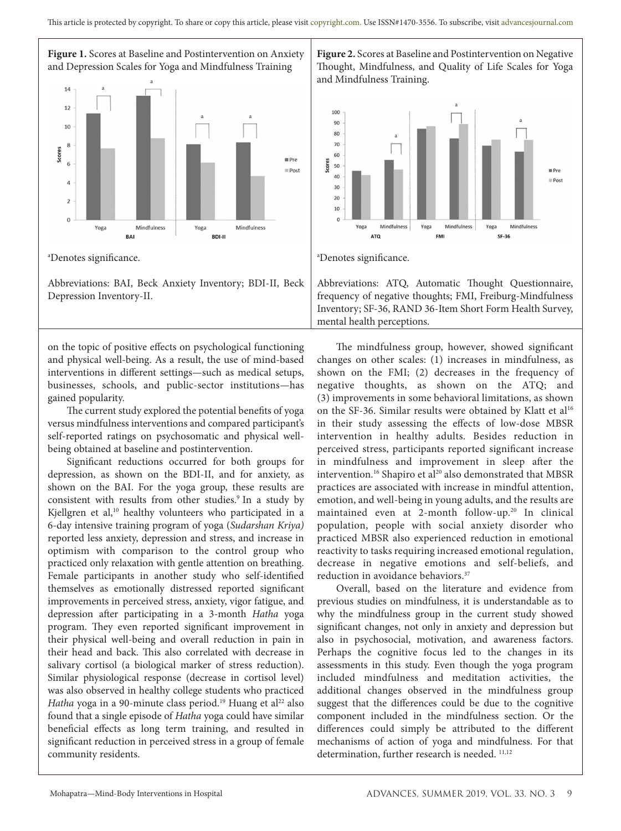

Abbreviations: BAI, Beck Anxiety Inventory; BDI-II, Beck Depression Inventory-II.

on the topic of positive effects on psychological functioning and physical well-being. As a result, the use of mind-based interventions in different settings—such as medical setups, businesses, schools, and public-sector institutions—has gained popularity.

The current study explored the potential benefits of yoga versus mindfulness interventions and compared participant's self-reported ratings on psychosomatic and physical wellbeing obtained at baseline and postintervention.

Significant reductions occurred for both groups for depression, as shown on the BDI-II, and for anxiety, as shown on the BAI. For the yoga group, these results are consistent with results from other studies.<sup>9</sup> In a study by Kjellgren et al,<sup>10</sup> healthy volunteers who participated in a 6-day intensive training program of yoga (*Sudarshan Kriya)* reported less anxiety, depression and stress, and increase in optimism with comparison to the control group who practiced only relaxation with gentle attention on breathing. Female participants in another study who self-identified themselves as emotionally distressed reported significant improvements in perceived stress, anxiety, vigor fatigue, and depression after participating in a 3-month *Hatha* yoga program. They even reported significant improvement in their physical well-being and overall reduction in pain in their head and back. This also correlated with decrease in salivary cortisol (a biological marker of stress reduction). Similar physiological response (decrease in cortisol level) was also observed in healthy college students who practiced *Hatha* yoga in a 90-minute class period.<sup>19</sup> Huang et al<sup>22</sup> also found that a single episode of *Hatha* yoga could have similar beneficial effects as long term training, and resulted in significant reduction in perceived stress in a group of female community residents.

**Figure 2.** Scores at Baseline and Postintervention on Negative Thought, Mindfulness, and Quality of Life Scales for Yoga and Mindfulness Training.



Abbreviations: ATQ, Automatic Thought Questionnaire, frequency of negative thoughts; FMI, Freiburg-Mindfulness Inventory; SF-36, RAND 36-Item Short Form Health Survey, mental health perceptions.

The mindfulness group, however, showed significant changes on other scales: (1) increases in mindfulness, as shown on the FMI; (2) decreases in the frequency of negative thoughts, as shown on the ATQ; and (3) improvements in some behavioral limitations, as shown on the SF-36. Similar results were obtained by Klatt et al<sup>16</sup> in their study assessing the effects of low-dose MBSR intervention in healthy adults. Besides reduction in perceived stress, participants reported significant increase in mindfulness and improvement in sleep after the intervention.<sup>16</sup> Shapiro et al<sup>20</sup> also demonstrated that MBSR practices are associated with increase in mindful attention, emotion, and well-being in young adults, and the results are maintained even at 2-month follow-up.<sup>20</sup> In clinical population, people with social anxiety disorder who practiced MBSR also experienced reduction in emotional reactivity to tasks requiring increased emotional regulation, decrease in negative emotions and self-beliefs, and reduction in avoidance behaviors.<sup>37</sup>

Overall, based on the literature and evidence from previous studies on mindfulness, it is understandable as to why the mindfulness group in the current study showed significant changes, not only in anxiety and depression but also in psychosocial, motivation, and awareness factors. Perhaps the cognitive focus led to the changes in its assessments in this study. Even though the yoga program included mindfulness and meditation activities, the additional changes observed in the mindfulness group suggest that the differences could be due to the cognitive component included in the mindfulness section. Or the differences could simply be attributed to the different mechanisms of action of yoga and mindfulness. For that determination, further research is needed.  $11,12$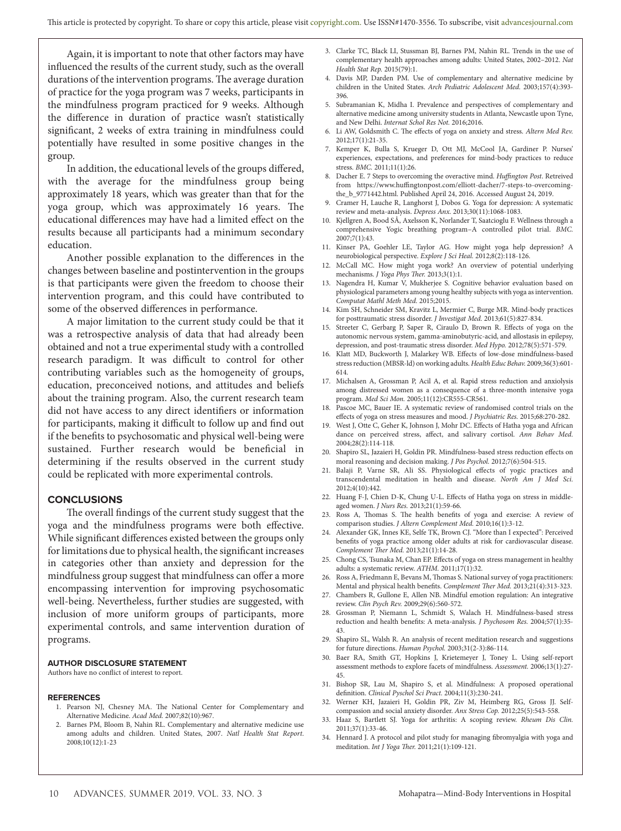Again, it is important to note that other factors may have influenced the results of the current study, such as the overall durations of the intervention programs. The average duration of practice for the yoga program was 7 weeks, participants in the mindfulness program practiced for 9 weeks. Although the difference in duration of practice wasn't statistically significant, 2 weeks of extra training in mindfulness could potentially have resulted in some positive changes in the group.

In addition, the educational levels of the groups differed, with the average for the mindfulness group being approximately 18 years, which was greater than that for the yoga group, which was approximately 16 years. The educational differences may have had a limited effect on the results because all participants had a minimum secondary education.

Another possible explanation to the differences in the changes between baseline and postintervention in the groups is that participants were given the freedom to choose their intervention program, and this could have contributed to some of the observed differences in performance.

A major limitation to the current study could be that it was a retrospective analysis of data that had already been obtained and not a true experimental study with a controlled research paradigm. It was difficult to control for other contributing variables such as the homogeneity of groups, education, preconceived notions, and attitudes and beliefs about the training program. Also, the current research team did not have access to any direct identifiers or information for participants, making it difficult to follow up and find out if the benefits to psychosomatic and physical well-being were sustained. Further research would be beneficial in determining if the results observed in the current study could be replicated with more experimental controls.

#### **CONCLUSIONS**

The overall findings of the current study suggest that the yoga and the mindfulness programs were both effective. While significant differences existed between the groups only for limitations due to physical health, the significant increases in categories other than anxiety and depression for the mindfulness group suggest that mindfulness can offer a more encompassing intervention for improving psychosomatic well-being. Nevertheless, further studies are suggested, with inclusion of more uniform groups of participants, more experimental controls, and same intervention duration of programs.

#### **AUTHOR DISCLOSURE STATEMENT**

Authors have no conflict of interest to report.

#### **REFERENCES**

- 1. Pearson NJ, Chesney MA. The National Center for Complementary and Alternative Medicine. *Acad Med.* 2007;82(10):967.
- 2. Barnes PM, Bloom B, Nahin RL. Complementary and alternative medicine use among adults and children. United States, 2007. *Natl Health Stat Report*. 2008;10(12):1-23
- 3. Clarke TC, Black LI, Stussman BJ, Barnes PM, Nahin RL. Trends in the use of complementary health approaches among adults: United States, 2002–2012. *Nat Health Stat Rep.* 2015(79):1.
- 4. Davis MP, Darden PM. Use of complementary and alternative medicine by children in the United States. *Arch Pediatric Adolescent Med.* 2003;157(4):393- 396.
- 5. Subramanian K, Midha I. Prevalence and perspectives of complementary and alternative medicine among university students in Atlanta, Newcastle upon Tyne, and New Delhi. *Internat Schol Res Not.* 2016;2016.
- 6. Li AW, Goldsmith C. The effects of yoga on anxiety and stress. *Altern Med Rev.*  2012;17(1):21-35.
- 7. Kemper K, Bulla S, Krueger D, Ott MJ, McCool JA, Gardiner P. Nurses' experiences, expectations, and preferences for mind-body practices to reduce stress. *BMC.* 2011;11(1):26.
- 8. Dacher E. 7 Steps to overcoming the overactive mind. *Huffington Post*. Retreived from https://www.huffingtonpost.com/elliott-dacher/7-steps-to-overcomingthe\_b\_9771442.html. Published April 24, 2016. Accessed August 24, 2019.
- 9. Cramer H, Lauche R, Langhorst J, Dobos G. Yoga for depression: A systematic review and meta‐analysis. *Depress Anx.* 2013;30(11):1068-1083.
- 10. Kjellgren A, Bood SÅ, Axelsson K, Norlander T, Saatcioglu F. Wellness through a comprehensive Yogic breathing program–A controlled pilot trial. *BMC.*  2007;7(1):43.
- 11. Kinser PA, Goehler LE, Taylor AG. How might yoga help depression? A neurobiological perspective. *Explore J Sci Heal.* 2012;8(2):118-126.
- 12. McCall MC. How might yoga work? An overview of potential underlying mechanisms. *J Yoga Phys Ther.* 2013;3(1):1.
- 13. Nagendra H, Kumar V, Mukherjee S. Cognitive behavior evaluation based on physiological parameters among young healthy subjects with yoga as intervention. *Computat Mathl Meth Med.* 2015;2015.
- 14. Kim SH, Schneider SM, Kravitz L, Mermier C, Burge MR. Mind-body practices for posttraumatic stress disorder. *J Investigat Med.* 2013;61(5):827-834.
- 15. Streeter C, Gerbarg P, Saper R, Ciraulo D, Brown R. Effects of yoga on the autonomic nervous system, gamma-aminobutyric-acid, and allostasis in epilepsy, depression, and post-traumatic stress disorder. *Med Hypo.* 2012;78(5):571-579.
- 16. Klatt MD, Buckworth J, Malarkey WB. Effects of low-dose mindfulness-based stress reduction (MBSR-ld) on working adults. *Health Educ Behav.* 2009;36(3):601- 614.
- 17. Michalsen A, Grossman P, Acil A, et al. Rapid stress reduction and anxiolysis among distressed women as a consequence of a three-month intensive yoga program. *Med Sci Mon.* 2005;11(12):CR555-CR561.
- 18. Pascoe MC, Bauer IE. A systematic review of randomised control trials on the effects of yoga on stress measures and mood. *J Psychiatric Res.* 2015;68:270-282.
- 19. West J, Otte C, Geher K, Johnson J, Mohr DC. Effects of Hatha yoga and African dance on perceived stress, affect, and salivary cortisol. *Ann Behav Med.*  2004;28(2):114-118.
- 20. Shapiro SL, Jazaieri H, Goldin PR. Mindfulness-based stress reduction effects on moral reasoning and decision making. *J Pos Psychol.* 2012;7(6):504-515.
- 21. Balaji P, Varne SR, Ali SS. Physiological effects of yogic practices and transcendental meditation in health and disease. *North Am J Med Sci.*  2012;4(10):442.
- 22. Huang F-J, Chien D-K, Chung U-L. Effects of Hatha yoga on stress in middleaged women. *J Nurs Res.* 2013;21(1):59-66.
- 23. Ross A, Thomas S. The health benefits of yoga and exercise: A review of comparison studies. *J Altern Complement Med.* 2010;16(1):3-12.
- 24. Alexander GK, Innes KE, Selfe TK, Brown CJ. "More than I expected": Perceived benefits of yoga practice among older adults at risk for cardiovascular disease. *Complement Ther Med.* 2013;21(1):14-28.
- 25. Chong CS, Tsunaka M, Chan EP. Effects of yoga on stress management in healthy adults: a systematic review. *ATHM.* 2011;17(1):32.
- 26. Ross A, Friedmann E, Bevans M, Thomas S. National survey of yoga practitioners: Mental and physical health benefits. *Complement Ther Med.* 2013;21(4):313-323.
- 27. Chambers R, Gullone E, Allen NB. Mindful emotion regulation: An integrative review. *Clin Psych Rev.* 2009;29(6):560-572.
- 28. Grossman P, Niemann L, Schmidt S, Walach H. Mindfulness-based stress reduction and health benefits: A meta-analysis. *J Psychosom Res.* 2004;57(1):35- 43.
- 29. Shapiro SL, Walsh R. An analysis of recent meditation research and suggestions for future directions. *Human Psychol.* 2003;31(2-3):86-114.
- 30. Baer RA, Smith GT, Hopkins J, Krietemeyer J, Toney L. Using self-report assessment methods to explore facets of mindfulness. *Assessment.* 2006;13(1):27- 45.
- 31. Bishop SR, Lau M, Shapiro S, et al. Mindfulness: A proposed operational definition. *Clinical Pyschol Sci Pract.* 2004;11(3):230-241.
- 32. Werner KH, Jazaieri H, Goldin PR, Ziv M, Heimberg RG, Gross JJ. Selfcompassion and social anxiety disorder. *Anx Stress Cop.* 2012;25(5):543-558.
- 33. Haaz S, Bartlett SJ. Yoga for arthritis: A scoping review. *Rheum Dis Clin.*  2011;37(1):33-46.
- 34. Hennard J. A protocol and pilot study for managing fibromyalgia with yoga and meditation. *Int J Yoga Ther.* 2011;21(1):109-121.